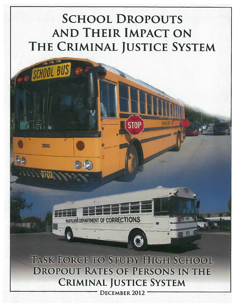# **SCHOOL DROPOUTS AND THEIR IMPACT ON** THE CRIMINAL JUSTICE SYSTEM

**STOP** 

SCHOOL BUS

Thurs

TASK FORCE TO STUDY HIGH SCHOOL **DROPOUT RATES OF PERSONS IN THE CRIMINAL JUSTICE SYSTEM** 

**WARAND DEPARTMENT OF CORRECTIONS** 

DECEMBER 2012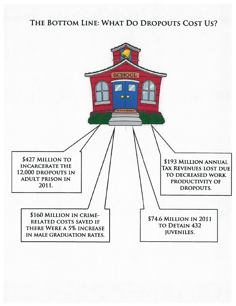# THE BOTTOM LINE: WHAT DO DROPOUTS COST US?

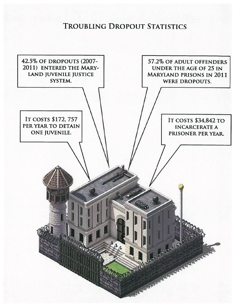**TROUBLING DROPOUT STATISTICS** 

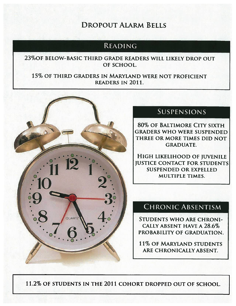# **DROPOUT ALARM BELLS**

# **READING**

23% OF BELOW-BASIC THIRD GRADE READERS WILL LIKELY DROP OUT OF SCHOOL.

15% OF THIRD GRADERS IN MARYLAND WERE NOT PROFICIENT **READERS IN 2011.** 



# SUSPENSIONS

**80% OF BALTIMORE CITY SIXTH GRADERS WHO WERE SUSPENDED** THREE OR MORE TIMES DID NOT **GRADUATE.** 

HIGH LIKELIHOOD OF JUVENILE **JUSTICE CONTACT FOR STUDENTS SUSPENDED OR EXPELLED** MULTIPLE TIMES.

# **CHRONIC ABSENTISM**

**STUDENTS WHO ARE CHRONI-CALLY ABSENT HAVE A 28.6%** PROBABILITY OF GRADUATION.

**11% OF MARYLAND STUDENTS** ARE CHRONICALLY ABSENT.

11.2% OF STUDENTS IN THE 2011 COHORT DROPPED OUT OF SCHOOL.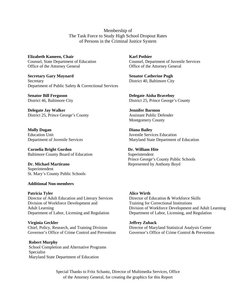Membership of The Task Force to Study High School Dropout Rates of Persons in the Criminal Justice System

**Elizabeth Kameen, Chair Manual Chair Elizabeth Kameen, Chair Manual Chair Karl Pothier** Office of the Attorney General Office of the Attorney General

**Secretary Gary Maynard**  Senator Catherine Pugh Secretary District 40, Baltimore City Department of Public Safety & Correctional Services

**Delegate Jay Walker**  Jennifer Barmon District 25, Prince George's County Assistant Public Defender

**Molly Dugan Diana Bailey** Education Unit Juvenile Services Education

**Cornelia Bright Gordon** Dr. William Hite Baltimore County Board of Education Superintendent

**Dr. Michael Martirano** *Represented by Anthony Boyd* Superintendent St. Mary's County Public Schools

**Additional Non-members** 

**Patricia Tyler Contract Alice Wirth Alice Wirth** Director of Adult Education and Literary Services Director of Education & Workforce Skills Division of Workforce Development and Training for Correctional Institutions Department of Labor, Licensing and Regulation Department of Labor, Licensing, and Regulation

**Virginia Geckler Sexter Sexter Sexter Sexter Sexter Sexter Sexter Sexter Sexter Sexter Sexter Sexter Sexter Sexter Sexter Sexter Sexter Sexter Sexter Sexter Sexter Sexter Sexter Sexter Sexter Sexter Sexter Sexter Sexter S** Chief, Policy, Research, and Training Division<br>
Governor's Office of Crime Control and Prevention<br>
Governor's Office of Crime Control & Prevention Governor's Office of Crime Control and Prevention

 **Robert Murphy**  School Completion and Alternative Programs Specialist Maryland State Department of Education

Counsel, State Department of Education Counsel, Department of Juvenile Services

**Senator Bill Ferguson Delegate Aisha Braveboy**  District 46, Baltimore City District 25, Prince George's County

Montgomery County

Department of Juvenile Services Maryland State Department of Education

Prince George's County Public Schools

Adult Learning Division of Workforce Development and Adult Learning

Special Thanks to Fritz Schantz, Director of Multimedia Services, Office of the Attorney General, for creating the graphics for this Report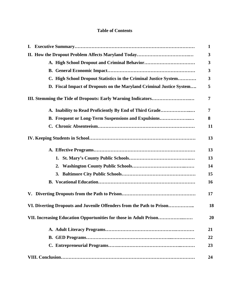# **Table of Contents**

|                                                                       | $\mathbf{1}$ |
|-----------------------------------------------------------------------|--------------|
|                                                                       | 3            |
|                                                                       | 3            |
|                                                                       | 3            |
| C. High School Dropout Statistics in the Criminal Justice System      | 3            |
| D. Fiscal Impact of Dropouts on the Maryland Criminal Justice System  | 5            |
|                                                                       | 7            |
| A. Inability to Read Proficiently By End of Third Grade               | 7            |
| <b>B. Frequent or Long-Term Suspensions and Expulsions</b>            | 8            |
|                                                                       | 11           |
|                                                                       | 13           |
|                                                                       | 13           |
|                                                                       | 13           |
| 2.                                                                    | 14           |
|                                                                       | 15           |
|                                                                       | 16           |
|                                                                       | 17           |
| VI. Diverting Dropouts and Juvenile Offenders from the Path to Prison | 18           |
| VII. Increasing Education Opportunities for those in Adult Prison     | 20           |
|                                                                       | 21           |
|                                                                       | 22           |
|                                                                       | 23           |
|                                                                       | 24           |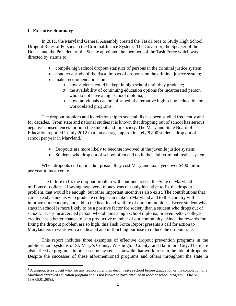#### **I. Executive Summary**

 In 2011, the Maryland General Assembly created the Task Force to Study High School Dropout Rates of Persons in the Criminal Justice System. The Governor, the Speaker of the House, and the President of the Senate appointed the members of the Task Force which was directed by statute to:

- compile high school dropout statistics of persons in the criminal justice system;
- conduct a study of the fiscal impact of dropouts on the criminal justice system;
- make recommendations on:
	- o how students could be kept in high school until they graduate;
	- o the availability of continuing education options for incarcerated person who do not have a high school diploma;
	- o how individuals can be informed of alternative high school education or work-related programs.

 The dropout problem and its relationship to societal ills has been studied frequently and for decades. From state and national studies it is known that dropping out of school has serious negative consequences for both the student and for society. The Maryland State Board of Education reported in July 2012 that, on average, approximately 8,800 students drop out of school per year in Maryland.<sup>1</sup>

- Dropouts are more likely to become involved in the juvenile justice system.
- Students who drop out of school often end up in the adult criminal justice system.

When dropouts end up in adult prison, they cost Maryland taxpayers over \$400 million per year to incarcerate.

 The failure to fix the dropout problem will continue to cost the State of Maryland millions of dollars. If saving taxpayers' money was our only incentive to fix the dropout problem, that would be enough, but other important incentives also exist. The contributions that career ready students who graduate college can make to Maryland and to this country will improve our economy and add to the health and welfare of our communities. Every student who stays in school is more likely to be a positive factor for society than a student who drops out of school. Every incarcerated person who obtains a high school diploma, or even better, college credits, has a better chance to be a productive member of our community. Since the rewards for fixing the dropout problem are so high, this Task Force Report presents a call for action to Marylanders to work with a dedicated and unflinching purpose to reduce the dropout rate.

This report includes three examples of effective dropout prevention programs in the public school systems of St. Mary's County, Washington County, and Baltimore City. There are also effective programs in other school systems statewide that work to stem the tide of dropouts. Despite the successes of these aforementioned programs and others throughout the state in

<sup>&</sup>lt;sup>1</sup> A dropout is a student who, for any reason other than death, leaves school before graduation or the completion of a Maryland approved education program and is not known to have enrolled in another school program. COMAR 13A.08.01.08(c).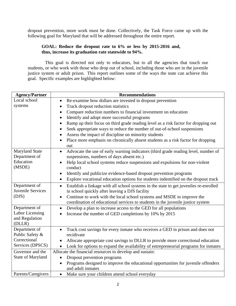dropout prevention, more work must be done. Collectively, the Task Force came up with the following goal for Maryland that will be addressed throughout the entire report.

#### **GOAL: Reduce the dropout rate to 6% or less by 2015-2016 and, thus, increase its graduation rate statewide to 94%.**

 This goal is directed not only to educators, but to all the agencies that touch our students, or who work with those who drop out of school, including those who are in the juvenile justice system or adult prison. This report outlines some of the ways the state can achieve this goal. Specific examples are highlighted below:

| <b>Agency/Partner</b>                  | <b>Recommendations</b>                                                                                                                                                               |
|----------------------------------------|--------------------------------------------------------------------------------------------------------------------------------------------------------------------------------------|
| Local school                           | Re-examine how dollars are invested in dropout prevention                                                                                                                            |
| systems                                | Track dropout reduction statistics<br>$\bullet$                                                                                                                                      |
|                                        | Compare reduction numbers to financial investment on education<br>$\bullet$                                                                                                          |
|                                        | Identify and adopt more successful programs<br>$\bullet$                                                                                                                             |
|                                        | Ramp up their focus on third grade reading level as a risk factor for dropping out                                                                                                   |
|                                        | Seek appropriate ways to reduce the number of out-of-school suspensions                                                                                                              |
|                                        | Assess the impact of discipline on minority students                                                                                                                                 |
|                                        | Place more emphasis on chronically absent students as a risk factor for dropping<br>$\bullet$                                                                                        |
|                                        | out                                                                                                                                                                                  |
| <b>Maryland State</b><br>Department of | Advocate the use of early warning indicators (third grade reading level, number of<br>$\bullet$<br>suspensions, numbers of days absent etc.)                                         |
| Education                              | Help local school systems reduce suspensions and expulsions for non-violent                                                                                                          |
| (MSDE)                                 | conduct                                                                                                                                                                              |
|                                        | Identify and publicize evidence-based dropout prevention programs<br>$\bullet$                                                                                                       |
|                                        | Explore vocational education options for students indentified on the dropout track                                                                                                   |
| Department of                          | Establish a linkage with all school systems in the state to get juveniles re-enrolled<br>$\bullet$                                                                                   |
| Juvenile Services                      | in school quickly after leaving a DJS facility                                                                                                                                       |
| (DJS)                                  | Continue to work with the local school systems and MSDE to improve the                                                                                                               |
|                                        | coordination of educational services to students in the juvenile justice system                                                                                                      |
| Department of                          | Develop a plan to increase access to the GED for all populations<br>$\bullet$                                                                                                        |
| Labor Licensing                        | Increase the number of GED completions by 10% by 2015                                                                                                                                |
| and Regulation                         |                                                                                                                                                                                      |
| (DLLR)                                 |                                                                                                                                                                                      |
| Department of<br>Public Safety &       | Track cost savings for every inmate who receives a GED in prison and does not<br>$\bullet$<br>recidivate                                                                             |
| Correctional                           |                                                                                                                                                                                      |
| Services (DPSCS)                       | Allocate appropriate cost savings to DLLR to provide more correctional education<br>Look for options to expand the availability of entrepreneurial programs for inmates<br>$\bullet$ |
| Governor and the                       | Allocate the financial resources to develop and sustain:                                                                                                                             |
| State of Maryland                      | Dropout prevention programs<br>$\bullet$                                                                                                                                             |
|                                        | Programs designed to improve the educational opportunities for juvenile offenders                                                                                                    |
|                                        | and adult inmates                                                                                                                                                                    |
| Parents/Caregivers                     | Make sure your children attend school everyday<br>$\bullet$                                                                                                                          |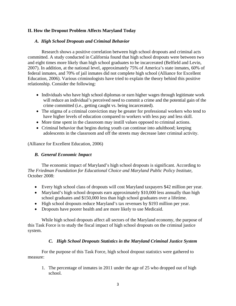# **II. How the Dropout Problem Affects Maryland Today**

## *A. High School Dropouts and Criminal Behavior*

Research shows a positive correlation between high school dropouts and criminal acts committed. A study conducted in California found that high school dropouts were between two and eight times more likely than high school graduates to be incarcerated (Belfield and Levin, 2007). In addition, at the national level, approximately 75% of America's state inmates, 60% of federal inmates, and 70% of jail inmates did not complete high school (Alliance for Excellent Education, 2006). Various criminologists have tried to explain the theory behind this positive relationship. Consider the following:

- Individuals who have high school diplomas or earn higher wages through legitimate work will reduce an individual's perceived need to commit a crime and the potential gain of the crime committed (i.e., getting caught vs. being incarcerated).
- The stigma of a criminal conviction may be greater for professional workers who tend to have higher levels of education compared to workers with less pay and less skill.
- More time spent in the classroom may instill values opposed to criminal actions.
- Criminal behavior that begins during youth can continue into adulthood; keeping adolescents in the classroom and off the streets may decrease later criminal activity.

(Alliance for Excellent Education, 2006)

# *B. General Economic Impact*

The economic impact of Maryland's high school dropouts is significant. According to *The Friedman Foundation for Educational Choice and Maryland Public Policy Institute,*  October 2008:

- Every high school class of dropouts will cost Maryland taxpayers \$42 million per year.
- Maryland's high school dropouts earn approximately \$10,000 less annually than high school graduates and \$150,000 less than high school graduates over a lifetime.
- High school dropouts reduce Maryland's tax revenues by \$193 million per year.
- Dropouts have poorer health and are more likely to use Medicaid.

While high school dropouts affect all sectors of the Maryland economy, the purpose of this Task Force is to study the fiscal impact of high school dropouts on the criminal justice system.

# *C. High School Dropouts Statistics in the Maryland Criminal Justice System*

For the purpose of this Task Force, high school dropout statistics were gathered to measure:

1. The percentage of inmates in 2011 under the age of 25 who dropped out of high school.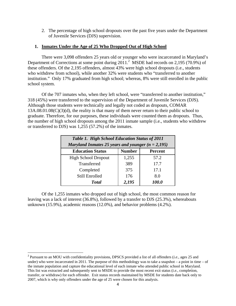2. The percentage of high school dropouts over the past five years under the Department of Juvenile Services (DJS) supervision.

#### **1. Inmates Under the Age of 25 Who Dropped Out of High School**

There were 3,098 offenders 25 years old or younger who were incarcerated in Maryland's Department of Corrections at some point during  $2011$ .<sup>2</sup> MSDE had records on 2,195 (70.9%) of these offenders. Of the 2,195 offenders, almost 43% were high school dropouts (i.e., students who withdrew from school), while another 32% were students who "transferred to another institution." Only 17% graduated from high school; whereas, 8% were still enrolled in the public school system.

Of the 707 inmates who, when they left school, were "transferred to another institution," 318 (45%) were transferred to the supervision of the Department of Juvenile Services (DJS). Although those students were technically and legally not coded as dropouts, COMAR 13A.08.01.08(C)(3)(d), the reality is that many of them never return to their public school to graduate. Therefore, for our purposes, these individuals were counted them as dropouts. Thus, the number of high school dropouts among the 2011 inmate sample (i.e., students who withdrew or transferred to DJS) was 1,255 (57.2%) of the inmates.

| Table 1. High School Education Status of 2011<br>Maryland Inmates 25 years and younger $(n = 2,195)$ |               |                |
|------------------------------------------------------------------------------------------------------|---------------|----------------|
| <b>Education Status</b>                                                                              | <b>Number</b> | <b>Percent</b> |
| <b>High School Dropout</b>                                                                           | 1,255         | 57.2           |
| Transferred                                                                                          | 389           | 17.7           |
| Completed                                                                                            | 375           | 17.1           |
| Still Enrolled                                                                                       | 176           | 8.0            |
| <b>Total</b>                                                                                         | 2,195         | 100.0          |

Of the 1,255 inmates who dropped out of high school, the most common reason for leaving was a lack of interest (36.8%), followed by a transfer to DJS (25.3%), whereabouts unknown (15.9%), academic reasons (12.0%), and behavior problems (4.2%).

<sup>2</sup> Pursuant to an MOU with confidentiality provisions, DPSCS provided a list of all offenders (*i.e.,* ages 25 and under) who were incarcerated in 2011. The purpose of this methodology was to take a snapshot – a point in time – of the inmate population and capture the educational level of each inmate who attended public school in Maryland. This list was extracted and subsequently sent to MSDE to provide the most recent exit status (*i.e.,* completion, transfer, or withdraw) for each offender. Exit status records maintained by MSDE for students date back only to 2007, which is why only offenders under the age of 25 were chosen for this analysis.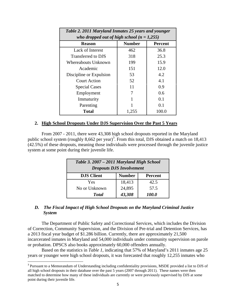| Table 2. 2011 Maryland Inmates 25 years and younger |               |                |
|-----------------------------------------------------|---------------|----------------|
| who dropped out of high school $(n = 1,255)$        |               |                |
| <b>Reason</b>                                       | <b>Number</b> | <b>Percent</b> |
| Lack of Interest                                    | 462           | 36.8           |
| Transferred to DJS                                  | 318           | 25.3           |
| Whereabouts Unknown                                 | 199           | 15.9           |
| Academic                                            | 151           | 12.0           |
| Discipline or Expulsion                             | 53            | 4.2            |
| <b>Court Action</b>                                 | 52            | 4.1            |
| <b>Special Cases</b>                                | 11            | 0.9            |
| Employment                                          | 7             | 0.6            |
| Immaturity                                          |               | 0.1            |
| Parenting                                           |               | 0.1            |
| Total                                               | 1,255         | 100.0          |

#### **2. High School Dropouts Under DJS Supervision Over the Past 5 Years**

From 2007 - 2011, there were 43,308 high school dropouts reported in the Maryland public school system (roughly 8,662 per year)<sup>3</sup>. From this total, DJS obtained a match on 18,413 (42.5%) of these dropouts, meaning those individuals were processed through the juvenile justice system at some point during their juvenile life.

| Table 3. 2007 – 2011 Maryland High School<br><b>Dropouts DJS Involvement</b> |               |                |
|------------------------------------------------------------------------------|---------------|----------------|
| <b>DJS Client</b>                                                            | <b>Number</b> | <b>Percent</b> |
| Yes                                                                          | 18,413        | 42.5           |
| No or Unknown                                                                | 24,895        | 57.5           |
| <b>Total</b>                                                                 | 43,308        | 100.0          |

#### *D. The Fiscal Impact of High School Dropouts on the Maryland Criminal Justice System*

The Department of Public Safety and Correctional Services, which includes the Division of Correction, Community Supervision, and the Division of Pre-trial and Detention Services, has a 2013 fiscal year budget of \$1.286 billion. Currently, there are approximately 21,500 incarcerated inmates in Maryland and 54,000 individuals under community supervision on parole or probation. DPSCS also books approximately 60,000 offenders annually.

Based on the statistics in *Table 1*, indicating that 57% of Maryland's 2011 inmates age 25 years or younger were high school dropouts, it was forecasted that roughly 12,255 inmates who

<sup>&</sup>lt;sup>3</sup> Pursuant to a Memorandum of Understanding including confidentiality provisions, MSDE provided a list to DJS of all high school dropouts in their database over the past 5 years (2007 through 2011). These names were then matched to determine how many of these individuals are currently or were previously supervised by DJS at some point during their juvenile life.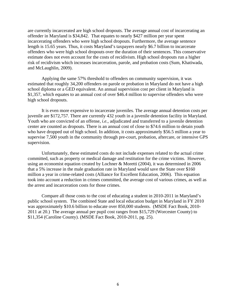are currently incarcerated are high school dropouts. The average annual cost of incarcerating an offender in Maryland is \$34,842. That equates to nearly \$427 million per year spent incarcerating offenders who were high school dropouts. Furthermore, the average sentence length is 15.65 years. Thus, it costs Maryland's taxpayers nearly \$6.7 billion to incarcerate offenders who were high school dropouts over the duration of their sentences. This conservative estimate does not even account for the costs of recidivism. High school dropouts run a higher risk of recidivism which increases incarceration, parole, and probation costs (Sum, Khatiwada, and McLaughlin, 2009).

Applying the same 57% threshold to offenders on community supervision, it was estimated that roughly 34,200 offenders on parole or probation in Maryland do not have a high school diploma or a GED equivalent. An annual supervision cost per client in Maryland is \$1,357, which equates to an annual cost of over \$46.4 million to supervise offenders who were high school dropouts.

It is even more expensive to incarcerate juveniles. The average annual detention costs per juvenile are \$172,757. There are currently 432 youth in a juvenile detention facility in Maryland. Youth who are convicted of an offense, *i.e.,* adjudicated and transferred to a juvenile detention center are counted as dropouts. There is an annual cost of close to \$74.6 million to detain youth who have dropped out of high school. In addition, it costs approximately \$56.5 million a year to supervise 7,500 youth in the community through pre-court, probation, aftercare, or intensive GPS supervision.

 Unfortunately, these estimated costs do not include expenses related to the actual crime committed, such as property or medical damage and restitution for the crime victims. However, using an economist equation created by Lochner & Moretti (2004), it was determined in 2006 that a 5% increase in the male graduation rate in Maryland would save the State over \$160 million a year in crime-related costs (Alliance for Excellent Education, 2006). This equation took into account a reduction in crimes committed, the average cost of various crimes, as well as the arrest and incarceration costs for those crimes.

 Compare all those costs to the cost of educating a student in 2010-2011 in Maryland's public school system. The combined State and local education budget in Maryland in FY 2010 was approximately \$10.6 billion to educate over 850,000 students. (MSDE Fact Book, 2010- 2011 at 20.) The average annual per pupil cost ranges from \$15,729 (Worcester County) to \$11,354 (Caroline County). (MSDE Fact Book, 2010-2011, pg. 25).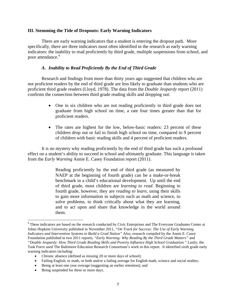#### **III. Stemming the Tide of Dropouts: Early Warning Indicators**

 There are early warning indicators that a student is entering the dropout path. More specifically, there are three indicators most often identified in the research as early warning indicators: the inability to read proficiently by third grade, multiple suspensions from school, and poor attendance.<sup>4</sup>

#### *A. Inability to Read Proficiently By the End of Third Grade*

 Research and findings from more than thirty years ago suggested that children who are not proficient readers by the end of third grade are less likely to graduate than students who are proficient third grade readers (Lloyd, 1978). The data from the *Double Jeopardy* report (2011) confirms the connection between third grade reading skills and dropping out:

- One in six children who are not reading proficiently in third grade does not graduate from high school on time, a rate four times greater than that for proficient readers.
- The rates are highest for the low, below-basic readers: 23 percent of these children drop out or fail to finish high school on time, compared to 9 percent of children with basic reading skills and 4 percent of proficient readers.

 It is no mystery why reading proficiently by the end of third grade has such a profound effect on a student's ability to succeed in school and ultimately graduate. This language is taken from the *Early Warning* Annie E. Casey Foundation report (2011).

> Reading proficiently by the end of third grade (as measured by NAEP at the beginning of fourth grade) can be a make-or-break benchmark in a child's educational development. Up until the end of third grade, most children are *learning to read.* Beginning in fourth grade, however, they are *reading to learn,* using their skills to gain more information in subjects such as math and science, to solve problems, to think critically about what they are learning, and to act upon and share that knowledge in the world around them.

<sup>&</sup>lt;sup>4</sup> These indicators are based on the research conducted by Civic Enterprises and The Everyone Graduates Center at Johns Hopkins University published in November 2011, *"On Track for Success: The Use of Early Warning Indicators and Intervention Systems to Build a Grad Nation"* Also, research compiled by the Annie E. Casey Foundation published in two 2011 reports, *"Early Warning: Why Reading By the Third Grade Matters"* and *"Double Jeopardy: How Third Grade Reading Skills and Poverty Influence High School Graduation."* Lastly, the Task Force used The Baltimore Education Research Consortium's work in this report. It identified sixth grade early warning indicators including:

Chronic absence (defined as missing 20 or more days of school);

<sup>•</sup> Failing English, or math, or both and/or a failing average for English math, science and social studies;

Being at least one year overage (suggesting an earlier retention); and

<sup>•</sup> Being suspended for three or more days.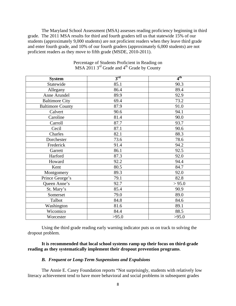The Maryland School Assessment (MSA) assesses reading proficiency beginning in third grade. The 2011 MSA results for third and fourth graders tell us that statewide 15% of our students (approximately 9,000 students) are not proficient readers when they leave third grade and enter fourth grade, and 10% of our fourth graders (approximately 6,000 students) are not proficient readers as they move to fifth grade (MSDE, 2010-2011).

| <b>System</b>           | $3^{\rm rd}$ | 4 <sup>th</sup> |
|-------------------------|--------------|-----------------|
| Statewide               | 85.1         | 90.3            |
| Allegany                | 86.4         | 89.4            |
| Anne Arundel            | 89.9         | 92.9            |
| <b>Baltimore City</b>   | 69.4         | 73.2            |
| <b>Baltimore County</b> | 87.9         | 91.0            |
| Calvert                 | 90.6         | 94.1            |
| Caroline                | 81.4         | 90.0            |
| Carroll                 | 87.7         | 93.7            |
| Cecil                   | 87.1         | 90.6            |
| Charles                 | 82.1         | 88.3            |
| Dorchester              | 73.6         | 78.6            |
| Frederick               | 91.4         | 94.2            |
| Garrett                 | 86.1         | 92.5            |
| Harford                 | 87.3         | 92.0            |
| Howard                  | 92.2         | 94.4            |
| Kent                    | 80.5         | 84.7            |
| Montgomery              | 89.3         | 92.0            |
| Prince George's         | 79.1         | 82.8            |
| Queen Anne's            | 92.7         | > 95.0          |
| St. Mary's              | 85.4         | 90.9            |
| Somerset                | 79.0         | 89.0            |
| Talbot                  | 84.8         | 84.6            |
| Washington              | 81.6         | 89.1            |
| Wicomico                | 84.4         | 88.5            |
| Worcester               | >95.0        | >95.0           |

Percentage of Students Proficient in Reading on MSA 2011  $3<sup>rd</sup>$  Grade and  $4<sup>th</sup>$  Grade by County

Using the third grade reading early warning indicator puts us on track to solving the dropout problem.

#### **It is recommended that local school systems ramp up their focus on third-grade reading as they systematically implement their dropout prevention programs**.

#### *B. Frequent or Long-Term Suspensions and Expulsions*

The Annie E. Casey Foundation reports "Not surprisingly, students with relatively low literacy achievement tend to have more behavioral and social problems in subsequent grades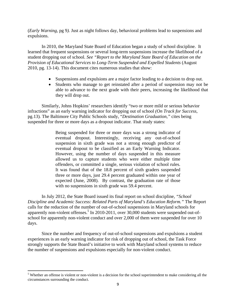(*Early Warning,* pg 9*).* Just as night follows day, behavioral problems lead to suspensions and expulsions.

 In 2010, the Maryland State Board of Education began a study of school discipline. It learned that frequent suspensions or several long-term suspensions increase the likelihood of a student dropping out of school. *See "Report to the Maryland State Board of Education on the Provision of Educational Services to Long-Term Suspended and Expelled Students (August* 2010, pg. 13-14). This document cites numerous studies that show:

- Suspensions and expulsions are a major factor leading to a decision to drop out.
- Students who manage to get reinstated after a period of suspension may not be able to advance to the next grade with their peers, increasing the likelihood that they will drop out.

Similarly, Johns Hopkins' researchers identify "two or more mild or serious behavior infractions" as an early warning indicator for dropping out of school *(On Track for Success,*  pg.13)*.* The Baltimore City Public Schools study, "*Destination Graduation,"* cites being suspended for three or more days as a dropout indicator. That study states:

> Being suspended for three or more days was a strong indicator of eventual dropout. Interestingly, receiving any out-of-school suspension in sixth grade was not a strong enough predictor of eventual dropout to be classified as an Early Warning Indicator. However, using the number of days suspended in this measure allowed us to capture students who were either multiple time offenders, or committed a single, serious violation of school rules. It was found that of the 18.8 percent of sixth graders suspended three or more days, just 29.4 percent graduated within one year of expected (June, 2008). By contrast, the graduation rate of those with no suspensions in sixth grade was 59.4 percent.

 In July 2012, the State Board issued its final report on school discipline, *"School Discipline and Academic Success: Related Parts of Maryland's Education Reform."* The Report calls for the reduction of the number of out-of-school suspensions in Maryland schools for apparently non-violent offenses.<sup>5</sup> In 2010-2011, over 30,000 students were suspended out-ofschool for apparently non-violent conduct and over 2,000 of them were suspended for over 10 days.

 Since the number and frequency of out-of-school suspensions and expulsions a student experiences is an early warning indicator for risk of dropping out of school, the Task Force strongly supports the State Board's initiative to work with Maryland school systems to reduce the number of suspensions and expulsions especially for non-violent conduct.

 $<sup>5</sup>$  Whether an offense is violent or non-violent is a decision for the school superintendent to make considering all the</sup> circumstances surrounding the conduct.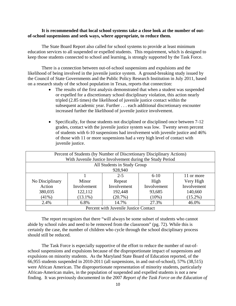#### **It is recommended that local school systems take a close look at the number of outof-school suspensions and seek ways, where appropriate, to reduce them.**

The State Board Report also called for school systems to provide at least minimum education services to all suspended or expelled students. This requirement, which is designed to keep those students connected to school and learning, is strongly supported by the Task Force.

 There is a connection between out-of-school suspensions and expulsions and the likelihood of being involved in the juvenile justice system. A ground-breaking study issued by the Council of State Governments and the Public Policy Research Institution in July 2011, based on a research study of the school population in Texas, reports that connection:

- The results of the first analysis demonstrated that when a student was suspended or expelled for a discretionary school disciplinary violation, this action nearly tripled (2.85 times) the likelihood of juvenile justice contact within the subsequent academic year. Further . . . each additional discretionary encounter increased further the likelihood of juvenile justice involvement.
- Specifically, for those students not disciplined or disciplined once between 7-12 grades, contact with the juvenile justice system was low. Twenty seven percent of students with 6-10 suspensions had involvement with juvenile justice and 46% of those with 11 or more suspensions had a very high level of contact with juvenile justice.

| Percent of Students (by Number of Discretionary Disciplinary Actions) |                             |             |             |             |
|-----------------------------------------------------------------------|-----------------------------|-------------|-------------|-------------|
| With Juvenile Justice Involvement during the Study Period             |                             |             |             |             |
|                                                                       | All Students in Study Group |             |             |             |
|                                                                       | 928,940                     |             |             |             |
|                                                                       |                             | $2 - 5$     | $6 - 10$    | 11 or more  |
| No Disciplinary                                                       | Minor                       | Repeat      | High        | Very High   |
| Action                                                                | Involvement                 | Involvement | Involvement | Involvement |
| 380,035                                                               | 122,112                     | 192,448     | 93,685      | 140,660     |
| $(41\%)$                                                              | $(13.1\%)$                  | $(20.7\%)$  | $(10\%)$    | $(15.2\%)$  |
| 2.4%                                                                  | 6.8%                        | 14.7%       | 27.3%       | 46.0%       |
| Percent with Juvenile Justice Contact                                 |                             |             |             |             |

The report recognizes that there "will always be some subset of students who cannot abide by school rules and need to be removed from the classroom" (pg. 72). While this is certainly the case, the number of children who cycle through the school disciplinary process should still be reduced.

The Task Force is especially supportive of the effort to reduce the number of out-ofschool suspensions and expulsions because of the disproportionate impact of suspensions and expulsions on minority students. As the Maryland State Board of Education reported, of the 66,955 students suspended in 2010-2011 (all suspensions, in and out-of-school), 57% (38,515) were African American. The disproportionate representation of minority students, particularly African-American males, in the population of suspended and expelled students is not a new finding. It was previously documented in the 2007 *Report of the Task Force on the Education of*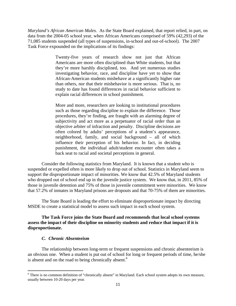*Maryland's African American Males.* As the State Board explained, that report relied, in part, on data from the 2004-05 school year, when African Americans comprised of 59% (42,293) of the 71,085 students suspended (all types of suspensions, in-school and out-of-school). The 2007 Task Force expounded on the implications of its findings:

> Twenty-five years of research show not just that African Americans are more often disciplined than White students, but that they're more harshly disciplined, too. And yet numerous studies investigating behavior, race, and discipline have yet to show that African-American students misbehave at a significantly higher rate than others, nor that their misbehavior is more serious. That is, no study to date has found differences in racial behavior sufficient to explain racial differences in school punishment.

> More and more, researchers are looking to institutional procedures such as those regarding discipline to explain the difference. Those procedures, they're finding, are fraught with an alarming degree of subjectivity and act more as a perpetuator of racial order than an objective arbiter of infraction and penalty. Discipline decisions are often colored by adults' perceptions of a student's appearance, neighborhood, family, and social background – all of which influence their perception of his behavior. In fact, in deciding punishment, the individual adult/student encounter often takes a back seat to racial and societal perceptions in general.

 Consider the following statistics from Maryland. It is known that a student who is suspended or expelled often is more likely to drop out of school. Statistics in Maryland seem to support the disproportionate impact of minorities. We know that 42.5% of Maryland students who dropped out of school end up in the juvenile justice system. We know that, in 2011, 85% of those in juvenile detention and 75% of those in juvenile commitment were minorities. We know that 57.2% of inmates in Maryland prisons are dropouts and that 70-75% of them are minorities.

The State Board is leading the effort to eliminate disproportionate impact by directing MSDE to create a statistical model to assess such impact in each school system.

**The Task Force joins the State Board and recommends that local school systems assess the impact of their discipline on minority students and reduce that impact if it is disproportionate.** 

#### *C. Chronic Absenteeism*

The relationship between long-term or frequent suspensions and chronic absenteeism is an obvious one. When a student is put out of school for long or frequent periods of time, he/she is absent and on the road to being chronically absent. $<sup>6</sup>$ </sup>

 $6$  There is no common definition of "chronically absent" in Maryland. Each school system adopts its own measure, usually between 10-20 days per year.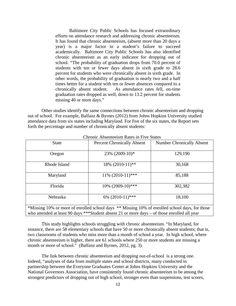Baltimore City Public Schools has focused extraordinary efforts on attendance research and addressing chronic absenteeism. It has found that chronic absenteeism, (absent more than 20 days a year) is a major factor in a student's failure to succeed academically. Baltimore City Public Schools has also identified chronic absenteeism as an early indicator for dropping out of school. "The probability of graduation drops from 70.0 percent of students with ten or fewer days absent in sixth grade to 28.6 percent for students who were chronically absent in sixth grade. In other words, the probability of graduation is nearly two and a half times better for a student with ten or fewer absences compared to a chronically absent student. As attendance rates fell, on-time graduation rates dropped as well, down to 13.2 percent for students missing 40 or more days."

 Other studies identify the same connections between chronic absenteeism and dropping out of school. For example, Balfanz & Byrnes (2012) from Johns Hopkins University studied attendance data from six states including Maryland. For five of the six states, the Report sets forth the percentage and number of chronically absent students:

| Спгоніс Абзеніссімні іхакемні і тус Віакем                                                                                                                                                     |                                   |                                  |  |  |
|------------------------------------------------------------------------------------------------------------------------------------------------------------------------------------------------|-----------------------------------|----------------------------------|--|--|
| <b>State</b>                                                                                                                                                                                   | <b>Percent Chronically Absent</b> | <b>Number Chronically Absent</b> |  |  |
| Oregon                                                                                                                                                                                         | 23% (2009-10)*                    | 129,190                          |  |  |
| Rhode Island                                                                                                                                                                                   | 18% (2010-11)**                   | 30,168                           |  |  |
| Maryland                                                                                                                                                                                       | $11\%$ (2010-11)***               | 85,188                           |  |  |
| Florida                                                                                                                                                                                        | 10% (2009-10)***                  | 302,382                          |  |  |
| Nebraska                                                                                                                                                                                       | 6% (2010-11)***                   | 18,100                           |  |  |
| *Missing 10% or more of enrolled school days ** Missing 10% of enrolled school days, for those<br>who attended at least 90 days ***Student absent 21 or more days – of those enrolled all year |                                   |                                  |  |  |

Chronic Absenteeism Rates in Five States

 This study highlights schools struggling with chronic absenteeism. "In Maryland, for instance, there are 58 elementary schools that have 50 or more chronically absent students; that is, two classrooms of students who miss more than a month of school a year. In high school, where chronic absenteeism is higher, there are 61 schools where 250 or more students are missing a month or more of school." (Balfanz and Byrnes, 2012, pg. 3).

 The link between chronic absenteeism and dropping out-of-school is a strong one. Indeed, "analyses of data from multiple states and school districts, many conducted in partnership between the Everyone Graduates Center at Johns Hopkins University and the National Governors Association, have consistently found chronic absenteeism to be among the strongest predictors of dropping out of high school, stronger even than suspensions, test scores,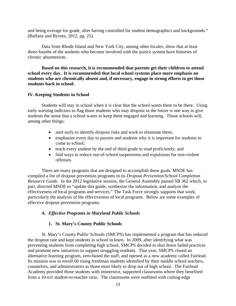and being overage for grade, after having controlled for student demographics and backgrounds." (Balfanz and Byrnes, 2012, pg. 25).

 Data from Rhode Island and New York City, among other locales, show that at least three-fourths of the students who become involved with the justice system have histories of chronic absenteeism.

**Based on this research, it is recommended that parents get their children to attend school every day. It is recommended that local school systems place more emphasis on students who are chronically absent and, if necessary, engage in strong efforts to get those students back in school.** 

#### **IV. Keeping Students in School**

Students will stay in school when it is clear that the school wants them to be there. Using early warning indictors to flag those students who may dropout in the future is one way to give students the sense that a school wants to keep them engaged and learning. Those schools will, among other things:

- start early to identify dropout risks and work to eliminate them;
- emphasize every day to parents and students why it is important for students to come to school;
- teach every student by the end of third grade to read proficiently; and
- find ways to reduce out-of-school suspensions and expulsions for non-violent offenses.

There are many programs that are designed to accomplish these goals. MSDE has compiled a list of dropout prevention programs in its *Dropout Prevention/School Completion Resource Guide.* In the 2012 legislative session, the General Assembly passed SB 362 which, in part, directed MSDE to "update this guide, synthesize the information, and analyze the effectiveness of local programs and services." The Task Force strongly supports that work, particularly the analysis of the effectiveness of local programs. Below are some examples of effective dropout prevention programs.

#### *A. Effective Programs in Maryland Public Schools*

#### **1. St. Mary's County Public Schools**

St. Mary's County Public Schools (SMCPS) has implemented a program that has reduced the dropout rate and kept students in school to learn. In 2009, after identifying what was preventing students from completing high school, SMCPS decided to shut down failed practices and promote new initiatives to support struggling students. That year, SMCPS closed an alternative learning program, zero-based the staff, and opened as a new academy called Fairlead. Its mission was to enroll 60 rising freshman students identified by their middle school teachers, counselors, and administrators as those most likely to drop out of high school. The Fairlead Academy provided those students with immersive, supported classrooms where they benefited from a 10-to1 student-to-teacher ratio. The classrooms were outfitted with cutting-edge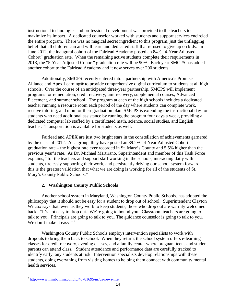instructional technologies and professional development was provided to the teachers to maximize its impact. A dedicated counselor worked with students and support services encircled the entire program. There was no magical secret ingredient to this program, just the unflagging belief that all children can and will learn and dedicated staff that refused to give up on kids. In June 2012, the inaugural cohort of the Fairlead Academy posted an 84% "4-Year Adjusted Cohort" graduation rate. When the remaining active students complete their requirements in 2013, the "5-Year Adjusted Cohort" graduation rate will be 90%. Each year SMCPS has added another cohort to the Fairlead Academy and it now serves over 200 students.

Additionally, SMCPS recently entered into a partnership with America's Promise Alliance and Apex Learning® to provide comprehensive digital curriculum to students at all high schools. Over the course of an anticipated three-year partnership, SMCPS will implement programs for remediation, credit recovery, unit recovery, supplemental courses, Advanced Placement, and summer school. The program at each of the high schools includes a dedicated teacher running a resource room each period of the day where students can complete work, receive tutoring, and monitor their graduation plan. SMCPS is extending the instructional day for students who need additional assistance by running the program four days a week, providing a dedicated computer lab staffed by a certificated math, science, social studies, and English teacher. Transportation is available for students as well.

Fairlead and APEX are just two bright stars in the constellation of achievements garnered by the class of 2012. As a group, they have posted an 89.2% "4-Year Adjusted Cohort" graduation rate – the highest rate ever recorded in St. Mary's County and 5.5% higher than the previous year's rate. As Dr. Michael Martirano, Superintendent and member of this Task Force explains, "for the teachers and support staff working in the schools, interacting daily with students, tirelessly supporting their work, and persistently driving our school system forward, this is the greatest validation that what we are doing is working for all of the students of St. Mary's County Public Schools."

# **2. Washington County Public Schools**

Another school system in Maryland, Washington County Public Schools, has adopted the philosophy that it should not be easy for a student to drop out of school. Superintendent Clayton Wilcox says that, even as they work to keep students, those who drop out are warmly welcomed back. "It's not easy to drop out. We're going to hound you. Classroom teachers are going to talk to you. Principals are going to talk to you. The guidance counselor is going to talk to you. We don't make it easy."<sup>7</sup>

Washington County Public Schools employs intervention specialists to work with dropouts to bring them back to school. When they return, the school system offers e-learning classes for credit recovery, evening classes, and a family center where pregnant teens and student parents can attend class. Student attendance and performance data are carefully tracked to identify early, any students at risk. Intervention specialists develop relationships with these students, doing everything from visiting homes to helping them connect with community mental health services.

 <sup>7</sup> http://www.msnbc.msn.com/id/46781695/ns/us-news-life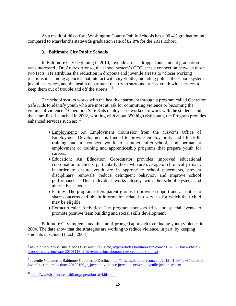As a result of this effort, Washington County Public Schools has a 90.4% graduation rate compared to Maryland's statewide graduation rate of 82.8% for the 2011 cohort.

## **3. Baltimore City Public Schools**

In Baltimore City beginning in 2010, juvenile arrests dropped and student graduation rates increased. Dr. Andres Alonso, the school system's CEO, sees a connection between those two facts. He attributes the reduction in dropouts and juvenile arrests to "closer working relationships among agencies that interact with city youths, including police, the school system, juvenile services, and the health department that try to surround at-risk youth with services to keep them out of trouble and off the streets." <sup>8</sup>

The school system works with the health department through a program called Operation Safe Kids to identify youth who are most at risk for committing violence or becoming the victims of violence.<sup>9</sup> Operation Safe Kids deploys caseworkers to work with the students and their families. Launched in 2002, working with about 350 high risk youth, the Program provides enhanced services such as:  $10$ 

- Employment: An Employment Counselor from the Mayor's Office of Employment Development is funded to provide employability and life skills training and to connect youth to summer, after-school, and permanent employment or training and apprenticeship programs that prepare youth for careers.
- Education: An Education Coordinator provides improved educational coordination to clients, particularly those who are overage or chronically truant, in order to ensure youth are in appropriate school placements, prevent disciplinary removals, reduce delinquent behavior, and improve school performance. This individual works closely with the school system and alternative schools.
- Family: The program offers parent groups to provide support and an outlet to share concerns and obtain information related to services for which their child may be eligible.
- Extracurricular Activities: The program sponsors trips and special events to promote positive team building and social skills development.

 Baltimore City implemented this multi-pronged approach to reducing youth violence in 2004. The data show that the strategies are working to reduce violence, in part, by keeping students in school (Brash, 2004).

 <sup>8</sup> *In Baltimore More Time Means Less Juvenile Crime,* http://articles.baltimoresun.com/2010-11-13/news/bs-cidropout-and-crime-rate-20101113\_1\_juvenile-crime-dropout-rate-ceo-andr-s-alonso

<sup>&</sup>lt;sup>9</sup> Juvenile Violence in Baltimore Counties to Decline, http://articles.baltimoresun.com/2012-01-09/news/bs-md-cijuvenile-crime-reductions-20120109\_1\_juvenile-violence-juvenile-services-juvenile-justice-system

<sup>10</sup> http://www.baltimorehealth.org/operationsafekids.html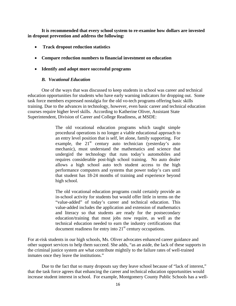**It is recommended that every school system to re-examine how dollars are invested in dropout prevention and address the following:** 

- **Track dropout reduction statistics**
- **Compare reduction numbers to financial investment on education**
- **Identify and adopt more successful programs**

## *B. Vocational Education*

One of the ways that was discussed to keep students in school was career and technical education opportunities for students who have early warning indicators for dropping out. Some task force members expressed nostalgia for the old vo-tech programs offering basic skills training. Due to the advances in technology, however, even basic career and technical education courses require higher level skills. According to Katherine Oliver, Assistant State Superintendent, Division of Career and College Readiness, at MSDE:

> The old vocational education programs which taught simple procedural operations is no longer a viable educational approach to an entry level position that is self, let alone, family supporting. For example, the  $21^{st}$  century auto technician (yesterday's auto mechanic), must understand the mathematics and science that undergird the technology that runs today's automobiles and requires considerable post-high school training. No auto dealer allows a high school auto tech student access to the high performance computers and systems that power today's cars until that student has 18-24 months of training and experience beyond high school.

> The old vocational education programs could certainly provide an in-school activity for students but would offer little in terms on the "value-added" of today's career and technical education. This value-added includes the application and extension of mathematics and literacy so that students are ready for the postsecondary education/training that most jobs now require, as well as the technical education needed to earn the industry certifications that document readiness for entry into  $21<sup>st</sup>$  century occupations.

For at-risk students in our high schools, Ms. Oliver advocates enhanced career guidance and other support services to help them succeed. She adds, "as an aside, the lack of these supports in the criminal justice system are what contribute mightily to the failure rates of well-trained inmates once they leave the institutions."

 Due to the fact that so many dropouts say they leave school because of "lack of interest," that the task force agrees that enhancing the career and technical education opportunities would increase student interest in school. For example, Montgomery County Public Schools has a well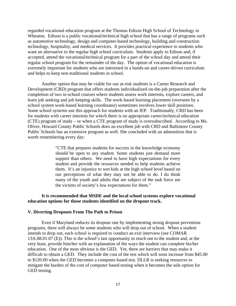regarded vocational education program at the Thomas Edison High School of Technology in Wheaton. Edison is a public vocational/technical high school that has a range of programs such as automotive technology, design and computer-based technology, building and construction technology, hospitality, and medical services. It provides practical experience to students who want an alternative to the regular high school curriculum. Students apply to Edison and, if accepted, attend the vocational/technical program for a part of the school day and attend their regular school program for the remainder of the day. The option of vocational education is extremely important for students who are interested in a hands-on and career-driven curriculum and helps to keep non-traditional students in school.

Another option that may be viable for our at-risk students is a Career Research and Development (CRD) program that offers students individualized on-the-job preparation after the completion of two in-school courses where students assess work interests, explore careers, and learn job seeking and job keeping skills. The work-based learning placement (overseen by a school system work-based learning coordinator) sometimes involves lower skill positions. Some school systems use this approach for students with an IEP. Traditionally, CRD has been for students with career interests for which there is no appropriate career/technical education (CTE) program of study – or when a CTE program of study is oversubscribed. According to Ms. Oliver, Howard County Public Schools does an excellent job with CRD and Baltimore County Public Schools has an extensive program as well. She concluded with an admonition that is worth remembering every day:

> "CTE that prepares students for success in the knowledge economy should be open to any student. Some students just demand more support than others. We need to have high expectations for every student and provide the resources needed to help students achieve them. It's an injustice to sort kids at the high school level based on our perceptions of what they may not be able to do. I do think many of the youth and adults that are subject of the task force are the victims of society's low expectations for them."

#### **It is recommended that MSDE and the local school systems explore vocational education options for those students identified on the dropout track.**

#### **V. Diverting Dropouts From The Path to Prison**

Even if Maryland reduces its dropout rate by implementing strong dropout prevention programs, there will always be some students who will drop out of school. When a student intends to drop out, each school is required to conduct an exit interview (see COMAR 13A.08.01.07 (E)). This is the school's last opportunity to reach out to the student and, at the very least, provide him/her with an explanation of the ways the student can complete his/her education. One of the most obvious is the GED. Yet, there are barriers that may make it difficult to obtain a GED. They include the cost of the test which will soon increase from \$45.00 to \$120.00 when the GED becomes a computer-based test. DLLR is seeking resources to mitigate the burden of the cost of computer based testing when it becomes the sole option for GED testing.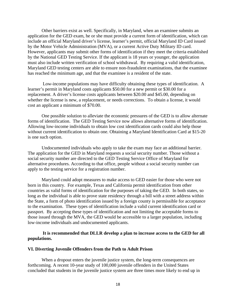Other barriers exist as well. Specifically, in Maryland, when an examinee submits an application for the GED exam, he or she must provide a current form of identification, which can include an official Maryland driver's license, learner's permit, official Maryland ID Card issued by the Motor Vehicle Administration (MVA), or a current Active Duty Military ID card. However, applicants may submit other forms of identification if they meet the criteria established by the National GED Testing Service. If the applicant is 18 years or younger, the application must also include written verification of school withdrawal. By requiring a valid identification, Maryland GED testing centers are able to ensure non-fraudulent examinations, that the examinee has reached the minimum age, and that the examinee is a resident of the state.

 Low-income populations may have difficulty obtaining these types of identification. A learner's permit in Maryland costs applicants \$50.00 for a new permit or \$30.00 for a replacement. A driver's license costs applicants between \$20.00 and \$45.00, depending on whether the license is new, a replacement, or needs corrections. To obtain a license, it would cost an applicant a minimum of \$70.00.

One possible solution to alleviate the economic pressures of the GED is to allow alternate forms of identification. The GED Testing Service now allows alternative forms of identification. Allowing low-income individuals to obtain low cost identification cards could also help those without current identification to obtain one. Obtaining a Maryland Identification Card at \$15-20 is one such option.

Undocumented individuals who apply to take the exam may face an additional barrier. The application for the GED in Maryland requests a social security number. Those without a social security number are directed to the GED Testing Service Office of Maryland for alternative procedures. According to that office, people without a social security number can apply to the testing service for a registration number.

Maryland could adopt measures to make access to GED easier for those who were not born in this country. For example, Texas and California permit identification from other countries as valid forms of identification for the purposes of taking the GED. In both states, so long as the individual is able to prove state residency through a bill with a street address within the State, a form of photo identification issued by a foreign county is permissible for acceptance to the examination. These types of identification include a valid current identification card or passport. By accepting these types of identification and not limiting the acceptable forms to those issued through the MVA, the GED would be accessible to a larger population, including low-income individuals and undocumented applicants.

#### **It is recommended that DLLR develop a plan to increase access to the GED for all populations.**

#### **VI. Diverting Juvenile Offenders from the Path to Adult Prison**

When a dropout enters the juvenile justice system, the long-term consequences are forthcoming. A recent 10-year study of 100,000 juvenile offenders in the United States concluded that students in the juvenile justice system are three times more likely to end up in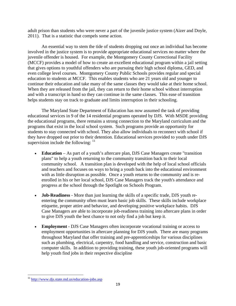adult prison than students who were never a part of the juvenile justice system (Aizer and Doyle, 2011). That is a statistic that compels some action.

An essential way to stem the tide of students dropping out once an individual has become involved in the justice system is to provide appropriate educational services no matter where the juvenile offender is housed. For example, the Montgomery County Correctional Facility (MCCF) provides a model of how to create an excellent educational program within a jail setting that gives options to youthful offenders who are pursuing their high school diploma, GED, and even college level courses. Montgomery County Public Schools provides regular and special education to students at MCCF. This enables students who are 21 years old and younger to continue their education and take many of the same classes they would take at their home school. When they are released from the jail, they can return to their home school without interruption and with a transcript in hand so they can continue in the same classes. This ease of transition helps students stay on track to graduate and limits interruption in their schooling.

The Maryland State Department of Education has now assumed the task of providing educational services in 9 of the 14 residential programs operated by DJS. With MSDE providing the educational programs, there remains a strong connection to the Maryland curriculum and the programs that exist in the local school system. Such programs provide an opportunity for students to stay connected with school. They also allow individuals to reconnect with school if they have dropped out prior to their detention. Educational services provided to youth under DJS supervision include the following:  $11$ 

- **Education**  As part of a youth's aftercare plan, DJS Case Managers create "transition plans" to help a youth returning to the community transition back to their local community school. A transition plan is developed with the help of local school officials and teachers and focuses on ways to bring a youth back into the educational environment with as little disruption as possible. Once a youth returns to the community and is reenrolled in his or her local school, DJS Case Managers track the youth's attendance and progress at the school through the Spotlight on Schools Program.
- **Job-Readiness**  More than just learning the skills of a specific trade, DJS youth reentering the community often must learn basic job skills. These skills include workplace etiquette, proper attire and behavior, and developing positive workplace habits. DJS Case Managers are able to incorporate job-readiness training into aftercare plans in order to give DJS youth the best chance to not only find a job but keep it.
- **Employment**  DJS Case Managers often incorporate vocational training or access to employment opportunities in aftercare planning for DJS youth. There are many programs throughout Maryland that offer training and pre-apprenticeships for various disciplines such as plumbing, electrical, carpentry, food handling and service, construction and basic computer skills. In addition to providing training, these youth job-oriented programs will help youth find jobs in their respective discipline

<sup>&</sup>lt;sup>11</sup> http://www.djs.state.md.us/education-jobs.asp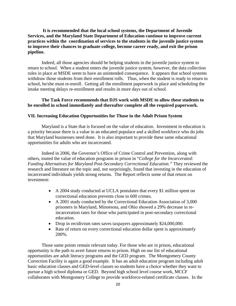**It is recommended that the local school systems, the Department of Juvenile Services, and the Maryland State Department of Education continue to improve current practices within the coordination of services to the students in the juvenile justice system to improve their chances to graduate college, become career ready, and exit the prison pipeline.** 

 Indeed, all those agencies should be helping students in the juvenile justice system to return to school. When a student enters the juvenile justice system, however, the data collection rules in place at MSDE seem to have an unintended consequence. It appears that school systems withdraw those students from their enrollment rolls. Thus, when the student is ready to return to school, he/she must re-enroll. Getting all the enrollment paperwork in place and scheduling the intake meeting delays re-enrollment and results in more days out of school.

#### **The Task Force recommends that DJS work with MSDE to allow these students to be enrolled in school immediately and thereafter complete all the required paperwork.**

#### **VII. Increasing Education Opportunities for Those in the Adult Prison System**

Maryland is a State that is focused on the value of education. Investment in education is a priority because there is a value in an educated populace and a skilled workforce who do jobs that Maryland businesses need done. It is also important to provide these same educational opportunities for adults who are incarcerated.

 Indeed in 2006, the Governor's Office of Crime Control and Prevention, along with others, touted the value of education programs in prison in "*College for the Incarcerated: Funding Alternatives for Maryland Post-Secondary Correctional Education."* They reviewed the research and literature on the topic and, not surprisingly, found that investing in the education of incarcerated individuals yields strong returns. The Report reflects some of that return on investment:

- A 2004 study conducted at UCLA postulates that every \$1 million spent on correctional education prevents close to 600 crimes.
- A 2001 study conducted by the Correctional Education Association of 3,000 prisoners in Maryland, Minnesota, and Ohio showed a 29% decrease in reincarceration rates for those who participated in post-secondary correctional education.
- Drop in recidivism rates saves taxpayers approximately \$24,000,000.
- Rate of return on every correctional education dollar spent is approximately 200%.

Those same points remain relevant today. For those who are in prison, educational opportunity is the path to avert future returns to prison. High on our list of educational opportunities are adult literacy programs and the GED program. The Montgomery County Correction Facility is again a good example. It has an adult education program including adult basic education classes and GED-level classes so students have a choice whether they want to pursue a high school diploma or GED. Beyond high school level course work, MCCF collaborates with Montgomery College to provide workforce-related certificate classes. In the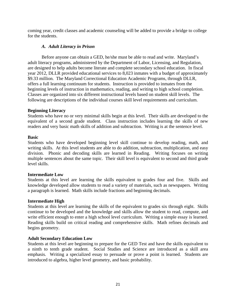coming year, credit classes and academic counseling will be added to provide a bridge to college for the students.

## *A. Adult Literacy in Prison*

Before anyone can obtain a GED, he/she must be able to read and write. Maryland's adult literacy programs, administered by the Department of Labor, Licensing, and Regulation, are designed to help adults become literate and complete secondary school education. In fiscal year 2012, DLLR provided educational services to 8,023 inmates with a budget of approximately \$9.33 million. The Maryland Correctional Education Academic Programs, through DLLR, offers a full learning continuum for students. Instruction is provided to inmates from the beginning levels of instruction in mathematics, reading, and writing to high school completion. Classes are organized into six different instructional levels based on student skill levels. The following are descriptions of the individual courses skill level requirements and curriculum.

## **Beginning Literacy**

Students who have no or very minimal skills begin at this level. Their skills are developed to the equivalent of a second grade student. Class instruction includes learning the skills of new readers and very basic math skills of addition and subtraction. Writing is at the sentence level.

#### **Basic**

Students who have developed beginning level skill continue to develop reading, math, and writing skills. At this level students are able to do addition, subtraction, multiplication, and easy division. Phonic and decoding skills are learned in Reading. Writing focuses on writing multiple sentences about the same topic. Their skill level is equivalent to second and third grade level skills.

#### **Intermediate Low**

Students at this level are learning the skills equivalent to grades four and five. Skills and knowledge developed allow students to read a variety of materials, such as newspapers. Writing a paragraph is learned. Math skills include fractions and beginning decimals.

#### **Intermediate High**

Students at this level are learning the skills of the equivalent to grades six through eight. Skills continue to be developed and the knowledge and skills allow the student to read, compute, and write efficient enough to enter a high school level curriculum. Writing a simple essay is learned. Reading skills build on critical reading and comprehensive skills. Math refines decimals and begins geometry.

# **Adult Secondary Education Low**

Students at this level are beginning to prepare for the GED Test and have the skills equivalent to a ninth to tenth grade student. Social Studies and Science are introduced as a skill area emphasis. Writing a specialized essay to persuade or prove a point is learned. Students are introduced to algebra, higher level geometry, and basic probability.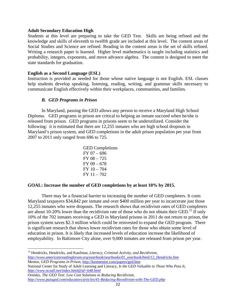#### **Adult Secondary Education High**

Students at this level are preparing to take the GED Test. Skills are being refined and the knowledge and skills of eleventh to twelfth grade are included at this level. The content areas of Social Studies and Science are refined. Reading in the content areas is the set of skills refined. Writing a research paper is learned. Higher level mathematics is taught including statistics and probability, integers, exponents, and move advance algebra. The content is designed to meet the state standards for graduation.

#### **English as a Second Language (ESL)**

Instruction is provided as needed for those whose native language is not English. ESL classes help students develop speaking, listening, reading, writing, and grammar skills necessary to communicate English effectively within their workplaces, communities, and families.

#### *B. GED Programs in Prison*

In Maryland, passing the GED allows any person to receive a Maryland High School Diploma. GED programs in prison are critical to helping an inmate succeed when he/she is released from prison. GED programs in prisons seem to be underutilized. Consider the following: it is estimated that there are 12,255 inmates who are high school dropouts in Maryland's prison system, and GED completions in the adult prison population per year from 2007 to 2011 only ranged from 696 to 725.

| <b>GED</b> Completions |
|------------------------|
| $FY$ 07 – 696          |
| $FY$ 08 $-725$         |
| $FY$ 09 – 678          |
| $FY 10 - 704$          |
| $FY 11 - 702$          |

#### **GOAL: Increase the number of GED completions by at least 10% by 2015.**

 There may be a financial barrier to increasing the number of GED completers. It costs Maryland taxpayers \$34,842 per inmate and over \$400 million per year to incarcerate just those 12,255 inmates who were dropouts. The research shows that recidivism rates of GED completers are about 10-20% lower than the recidivism rate of those who do not obtain their GED.<sup>12</sup> If only 10% of the 702 inmates receiving a GED in Maryland prisons in 2011 do not return to prison, the prison system saves \$2.3 million which could be reinvested to expand the GED program. There is significant research that shows lower recidivism rates for those who obtain some level of education in prison. It is likely that increased levels of education increase the likelihood of employability. In Baltimore City alone, over 9,000 inmates are released from prison per year.

<sup>&</sup>lt;sup>12</sup> Hendricks, Hendricks, and Kaufman, *Literacy, Criminal Activity, and Recidivism*, *http://www.americanreadingforum.org/yearbook/yearbooks/01\_yearbook/html/12\_Hendricks.htm* 

Mentor, *GED Programs in Prison,* http://kenmentor.com/papers/ged.htm National Center for Study of Adult Learning and Literacy, *Is the GED Valuable to Those Who Pass It,* 

*http://www.ncsall.net/index.html@id=648.html* 

Ornisky, *The GED Test: Low Cost Solutions to Reducing Recidivism, http://www.passged.com/educators/articles/41-Reducing-Recedivism-with-The-GED.php*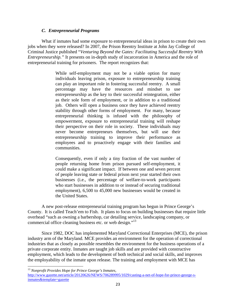#### *C. Entrepreneurial Programs*

 What if inmates had some exposure to entrepreneurial ideas in prison to create their own jobs when they were released? In 2007, the Prison Reentry Institute at John Jay College of Criminal Justice published "*Venturing Beyond the Gates: Facilitating Successful Reentry With Entrepreneurship."* It presents on in-depth study of incarceration in America and the role of entrepreneurial training for prisoners. The report recognizes that:

> While self-employment may not be a viable option for many individuals leaving prison, exposure to entrepreneurship training can play an important role in fostering successful reentry. A small percentage may have the resources and mindset to use entrepreneurship as the key to their successful reintegration, either as their sole form of employment, or in addition to a traditional job. Others will open a business once they have achieved reentry stability through other forms of employment. For many, because entrepreneurial thinking is infused with the philosophy of empowerment, exposure to entrepreneurial training will reshape their perspective on their role in society. These individuals may never become entrepreneurs themselves, but will use their entrepreneurship training to improve their performance as employees and to proactively engage with their families and communities.

> Consequently, even if only a tiny fraction of the vast number of people returning home from prison pursued self-employment, it could make a significant impact. If between one and seven percent of people leaving state or federal prison next year started their own businesses (i.e., the percentage of welfare-to-work participants who start businesses in addition to or instead of securing traditional employment), 6,500 to 45,000 new businesses would be created in the United States.

 A new post-release entrepreneurial training program has begun in Prince George's County. It is called Teach'em to Fish. It plans to focus on building businesses that require little overhead "such as owning a barbershop, car detailing service, landscaping company, or commercial office cleaning business etc. or web design."<sup>13</sup>

Since 1982, DOC has implemented Maryland Correctional Enterprises (MCE), the prison industry arm of the Maryland. MCE provides an environment for the operation of correctional industries that as closely as possible resembles the environment for the business operations of a private corporate entity. Inmates are taught job skills and are provided with constructive employment, which leads to the development of both technical and social skills, and improves the employability of the inmate upon release. The training and employment with MCE has

<sup>13</sup> *Nonprofit Provides Hope for Prince George's Inmates,* 

http://www.gazette.net/article/20120626/NEWS/706289995/1029/casting-a-net-of-hope-for-prince-george-sinmates&template=gazette